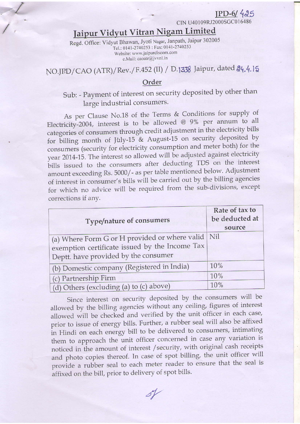## $IPD-6/425$

CIN U40109RJ2000SGC016486

# Jaipur Vidyut Vitran Nigam Limited

Regd. Office: Vidyut Bhawan, Jyoti Nagar, Janpath, Jaipur 302005 Tel.: 0141-2740253 : Fax: 0141-2740253 Website: www.jaipurdiscom.com e.Mail: caoatr@jvvnl.in

NO.JPD/CAO (ATR)/Rev./F.452 (II) / D.1338 Jaipur, dated 24.4.15

#### Order

# Sub: - Payment of interest on security deposited by other than large industrial consumers.

As per Clause No.18 of the Terms & Conditions for supply of Electricity-2004, interest is to be allowed  $@$  9% per annum to all categories of consumers through credit adjustment in the electricity bills for billing month of July-15 & August-15 on security deposited by consumers (security for electricity consumption and meter both) for the year 2014-15. The interest so allowed will be adjusted against electricity bills issued to the consumers after deducting TDS on the interest amount exceeding Rs. 5000/- as per table mentioned below. Adjustment of interest in consumer's bills will be carried out by the billing agencies for which no advice will be required from the sub-divisions, except corrections if any.

| Type/nature of consumers                                                                                                                    | Rate of tax to<br>be deducted at<br>source |
|---------------------------------------------------------------------------------------------------------------------------------------------|--------------------------------------------|
| (a) Where Form G or H provided or where valid Nil<br>exemption certificate issued by the Income Tax<br>Deptt. have provided by the consumer |                                            |
| (b) Domestic company (Registered in India)                                                                                                  | 10%                                        |
| (c) Partnership Firm                                                                                                                        | 10%                                        |
| (d) Others (excluding (a) to (c) above)                                                                                                     | 10%                                        |

Since interest on security deposited by the consumers will be allowed by the billing agencies without any ceiling, figures of interest allowed will be checked and verified by the unit officer in each case, prior to issue of energy bills. Further, a rubber seal will also be affixed in Hindi on each energy bill to be delivered to consumers, intimating them to approach the unit officer concerned in case any variation is noticed in the amount of interest / security, with original cash receipts and photo copies thereof. In case of spot billing, the unit officer will provide a rubber seal to each meter reader to ensure that the seal is affixed on the bill, prior to delivery of spot bills.

 $8\%$